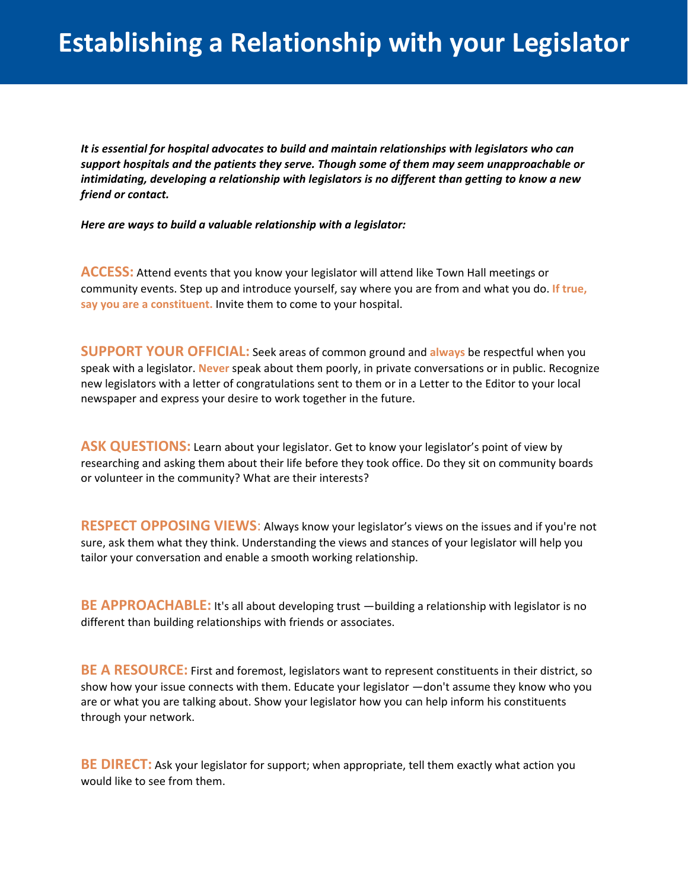*It is essential for hospital advocates to build and maintain relationships with legislators who can support hospitals and the patients they serve. Though some of them may seem unapproachable or intimidating, developing a relationship with legislators is no different than getting to know a new friend or contact.* 

*Here are ways to build a valuable relationship with a legislator:* 

**ACCESS:** Attend events that you know your legislator will attend like Town Hall meetings or community events. Step up and introduce yourself, say where you are from and what you do. **If true, say you are a constituent.** Invite them to come to your hospital.

**SUPPORT YOUR OFFICIAL:** Seek areas of common ground and **always** be respectful when you speak with a legislator. **Never** speak about them poorly, in private conversations or in public. Recognize new legislators with a letter of congratulations sent to them or in a Letter to the Editor to your local newspaper and express your desire to work together in the future.

ASK QUESTIONS: Learn about your legislator. Get to know your legislator's point of view by researching and asking them about their life before they took office. Do they sit on community boards or volunteer in the community? What are their interests?

**RESPECT OPPOSING VIEWS**: Always know your legislator's views on the issues and if you're not sure, ask them what they think. Understanding the views and stances of your legislator will help you tailor your conversation and enable a smooth working relationship.

**BE APPROACHABLE:** It's all about developing trust —building a relationship with legislator is no different than building relationships with friends or associates.

**BE A RESOURCE:** First and foremost, legislators want to represent constituents in their district, so show how your issue connects with them. Educate your legislator —don't assume they know who you are or what you are talking about. Show your legislator how you can help inform his constituents through your network.

**BE DIRECT:** Ask your legislator for support; when appropriate, tell them exactly what action you would like to see from them.